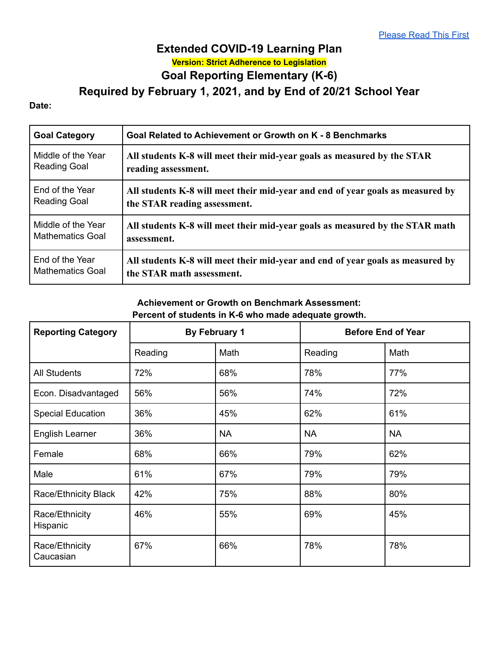# **Extended COVID-19 Learning Plan Version: Strict Adherence to Legislation Goal Reporting Elementary (K-6)**

**Required by February 1, 2021, and by End of 20/21 School Year**

#### **Date:**

| <b>Goal Category</b>    | Goal Related to Achievement or Growth on K - 8 Benchmarks                      |  |  |
|-------------------------|--------------------------------------------------------------------------------|--|--|
| Middle of the Year      | All students K-8 will meet their mid-year goals as measured by the STAR        |  |  |
| <b>Reading Goal</b>     | reading assessment.                                                            |  |  |
| End of the Year         | All students K-8 will meet their mid-year and end of year goals as measured by |  |  |
| <b>Reading Goal</b>     | the STAR reading assessment.                                                   |  |  |
| Middle of the Year      | All students K-8 will meet their mid-year goals as measured by the STAR math   |  |  |
| <b>Mathematics Goal</b> | assessment.                                                                    |  |  |
| End of the Year         | All students K-8 will meet their mid-year and end of year goals as measured by |  |  |
| <b>Mathematics Goal</b> | the STAR math assessment.                                                      |  |  |

### **Achievement or Growth on Benchmark Assessment: Percent of students in K-6 who made adequate growth.**

| <b>Reporting Category</b>   | <b>By February 1</b> |           | <b>Before End of Year</b> |           |
|-----------------------------|----------------------|-----------|---------------------------|-----------|
|                             | Reading              | Math      | Reading                   | Math      |
| <b>All Students</b>         | 72%                  | 68%       | 78%                       | 77%       |
| Econ. Disadvantaged         | 56%                  | 56%       | 74%                       | 72%       |
| <b>Special Education</b>    | 36%                  | 45%       | 62%                       | 61%       |
| <b>English Learner</b>      | 36%                  | <b>NA</b> | <b>NA</b>                 | <b>NA</b> |
| Female                      | 68%                  | 66%       | 79%                       | 62%       |
| Male                        | 61%                  | 67%       | 79%                       | 79%       |
| Race/Ethnicity Black        | 42%                  | 75%       | 88%                       | 80%       |
| Race/Ethnicity<br>Hispanic  | 46%                  | 55%       | 69%                       | 45%       |
| Race/Ethnicity<br>Caucasian | 67%                  | 66%       | 78%                       | 78%       |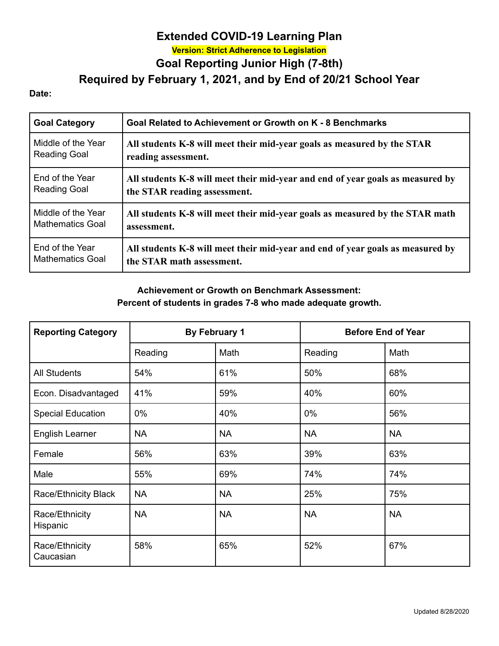## **Extended COVID-19 Learning Plan Version: Strict Adherence to Legislation Goal Reporting Junior High (7-8th)**

**Required by February 1, 2021, and by End of 20/21 School Year**

#### **Date:**

| <b>Goal Category</b>    | Goal Related to Achievement or Growth on K - 8 Benchmarks                      |  |  |
|-------------------------|--------------------------------------------------------------------------------|--|--|
| Middle of the Year      | All students K-8 will meet their mid-year goals as measured by the STAR        |  |  |
| <b>Reading Goal</b>     | reading assessment.                                                            |  |  |
| End of the Year         | All students K-8 will meet their mid-year and end of year goals as measured by |  |  |
| <b>Reading Goal</b>     | the STAR reading assessment.                                                   |  |  |
| Middle of the Year      | All students K-8 will meet their mid-year goals as measured by the STAR math   |  |  |
| <b>Mathematics Goal</b> | assessment.                                                                    |  |  |
| End of the Year         | All students K-8 will meet their mid-year and end of year goals as measured by |  |  |
| <b>Mathematics Goal</b> | the STAR math assessment.                                                      |  |  |

### **Achievement or Growth on Benchmark Assessment: Percent of students in grades 7-8 who made adequate growth.**

| <b>Reporting Category</b>   | <b>By February 1</b> |           | <b>Before End of Year</b> |           |
|-----------------------------|----------------------|-----------|---------------------------|-----------|
|                             | Reading              | Math      | Reading                   | Math      |
| <b>All Students</b>         | 54%                  | 61%       | 50%                       | 68%       |
| Econ. Disadvantaged         | 41%                  | 59%       | 40%                       | 60%       |
| <b>Special Education</b>    | 0%                   | 40%       | $0\%$                     | 56%       |
| English Learner             | <b>NA</b>            | <b>NA</b> | <b>NA</b>                 | <b>NA</b> |
| Female                      | 56%                  | 63%       | 39%                       | 63%       |
| Male                        | 55%                  | 69%       | 74%                       | 74%       |
| Race/Ethnicity Black        | <b>NA</b>            | <b>NA</b> | 25%                       | 75%       |
| Race/Ethnicity<br>Hispanic  | <b>NA</b>            | <b>NA</b> | <b>NA</b>                 | <b>NA</b> |
| Race/Ethnicity<br>Caucasian | 58%                  | 65%       | 52%                       | 67%       |